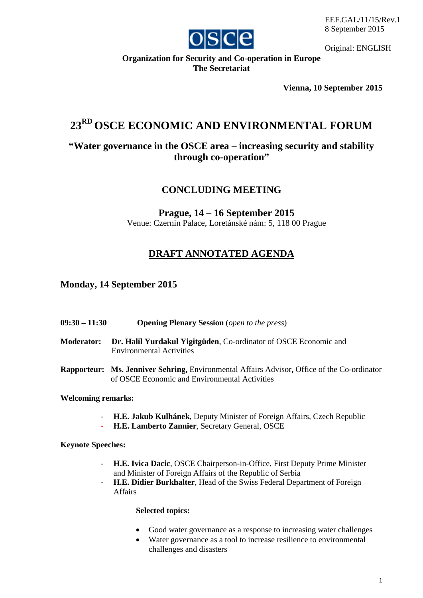

Original: ENGLISH

## **Organization for Security and Co-operation in Europe The Secretariat**

**Vienna, 10 September 2015**

# **23RD OSCE ECONOMIC AND ENVIRONMENTAL FORUM**

## **"Water governance in the OSCE area – increasing security and stability through co-operation"**

## **CONCLUDING MEETING**

### **Prague, 14 – 16 September 2015** Venue: Czernin Palace, Loretánské nám: 5, 118 00 Prague

## **DRAFT ANNOTATED AGENDA**

## **Monday, 14 September 2015**

- **09:30 – 11:30 Opening Plenary Session** (*open to the press*)
- **Moderator: Dr. Halil Yurdakul Yigitgüden**, Co-ordinator of OSCE Economic and Environmental Activities
- **Rapporteur: Ms. Jenniver Sehring,** Environmental Affairs Advisor**,** Office of the Co-ordinator of OSCE Economic and Environmental Activities

#### **Welcoming remarks:**

- **H.E. Jakub Kulhánek**, Deputy Minister of Foreign Affairs, Czech Republic
- **H.E. Lamberto Zannier**, Secretary General, OSCE

**Keynote Speeches:**

- **H.E. Ivica Dacic**, OSCE Chairperson-in-Office, First Deputy Prime Minister and Minister of Foreign Affairs of the Republic of Serbia
- **H.E. Didier Burkhalter**, Head of the Swiss Federal Department of Foreign Affairs

#### **Selected topics:**

- Good water governance as a response to increasing water challenges
- Water governance as a tool to increase resilience to environmental challenges and disasters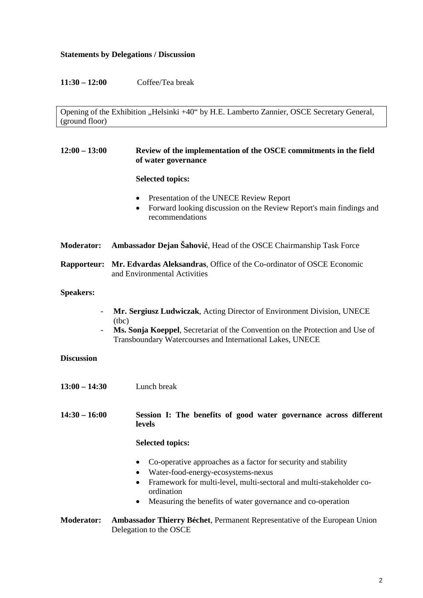#### **Statements by Delegations / Discussion**

**11:30 – 12:00** Coffee/Tea break

Opening of the Exhibition "Helsinki +40" by H.E. Lamberto Zannier, OSCE Secretary General, (ground floor)

#### **12:00 – 13:00 Review of the implementation of the OSCE commitments in the field of water governance**

#### **Selected topics:**

- Presentation of the UNECE Review Report
- Forward looking discussion on the Review Report's main findings and recommendations
- **Moderator: Ambassador Dejan Šahović**, Head of the OSCE Chairmanship Task Force

#### **Rapporteur: Mr. Edvardas Aleksandras**, Office of the Co-ordinator of OSCE Economic and Environmental Activities

#### **Speakers:**

- **Mr. Sergiusz Ludwiczak**, Acting Director of Environment Division, UNECE (tbc)
- **Ms. Sonja Koeppel**, Secretariat of the Convention on the Protection and Use of Transboundary Watercourses and International Lakes, UNECE

#### **Discussion**

**13:00 – 14:30** Lunch break

**14:30 – 16:00 Session I: The benefits of good water governance across different levels** 

#### **Selected topics:**

- Co-operative approaches as a factor for security and stability
- Water-food-energy-ecosystems-nexus
- Framework for multi-level, multi-sectoral and multi-stakeholder coordination
- Measuring the benefits of water governance and co-operation

#### **Moderator: Ambassador Thierry Béchet**, Permanent Representative of the European Union Delegation to the OSCE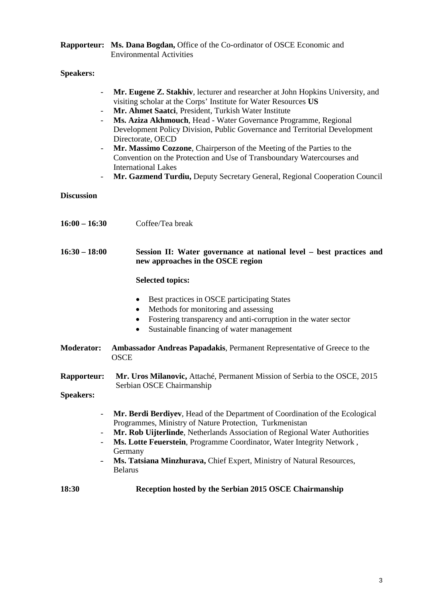### **Rapporteur: Ms. Dana Bogdan,** Office of the Co-ordinator of OSCE Economic and Environmental Activities

## **Speakers:**

| $\blacksquare$<br>-                            | Mr. Eugene Z. Stakhiv, lecturer and researcher at John Hopkins University, and<br>visiting scholar at the Corps' Institute for Water Resources US<br>Mr. Ahmet Saatci, President, Turkish Water Institute<br>Ms. Aziza Akhmouch, Head - Water Governance Programme, Regional<br>Development Policy Division, Public Governance and Territorial Development<br>Directorate, OECD<br>Mr. Massimo Cozzone, Chairperson of the Meeting of the Parties to the<br>Convention on the Protection and Use of Transboundary Watercourses and<br><b>International Lakes</b><br>Mr. Gazmend Turdiu, Deputy Secretary General, Regional Cooperation Council |
|------------------------------------------------|------------------------------------------------------------------------------------------------------------------------------------------------------------------------------------------------------------------------------------------------------------------------------------------------------------------------------------------------------------------------------------------------------------------------------------------------------------------------------------------------------------------------------------------------------------------------------------------------------------------------------------------------|
| <b>Discussion</b>                              |                                                                                                                                                                                                                                                                                                                                                                                                                                                                                                                                                                                                                                                |
| $16:00 - 16:30$                                | Coffee/Tea break                                                                                                                                                                                                                                                                                                                                                                                                                                                                                                                                                                                                                               |
| $16:30 - 18:00$                                | Session II: Water governance at national level – best practices and<br>new approaches in the OSCE region                                                                                                                                                                                                                                                                                                                                                                                                                                                                                                                                       |
|                                                | <b>Selected topics:</b>                                                                                                                                                                                                                                                                                                                                                                                                                                                                                                                                                                                                                        |
|                                                | Best practices in OSCE participating States<br>$\bullet$<br>Methods for monitoring and assessing<br>$\bullet$<br>Fostering transparency and anti-corruption in the water sector<br>$\bullet$<br>Sustainable financing of water management<br>$\bullet$                                                                                                                                                                                                                                                                                                                                                                                         |
| <b>Moderator:</b>                              | Ambassador Andreas Papadakis, Permanent Representative of Greece to the<br><b>OSCE</b>                                                                                                                                                                                                                                                                                                                                                                                                                                                                                                                                                         |
| Rapporteur:<br><b>Speakers:</b>                | Mr. Uros Milanovic, Attaché, Permanent Mission of Serbia to the OSCE, 2015<br>Serbian OSCE Chairmanship                                                                                                                                                                                                                                                                                                                                                                                                                                                                                                                                        |
| $\qquad \qquad \blacksquare$<br>$\blacksquare$ | Mr. Berdi Berdiyev, Head of the Department of Coordination of the Ecological<br>Programmes, Ministry of Nature Protection, Turkmenistan<br>Mr. Rob Uijterlinde, Netherlands Association of Regional Water Authorities<br>Ms. Lotte Feuerstein, Programme Coordinator, Water Integrity Network,<br>Germany<br>Ms. Tatsiana Minzhurava, Chief Expert, Ministry of Natural Resources,<br><b>Belarus</b>                                                                                                                                                                                                                                           |
| 18:30                                          | Reception hosted by the Serbian 2015 OSCE Chairmanship                                                                                                                                                                                                                                                                                                                                                                                                                                                                                                                                                                                         |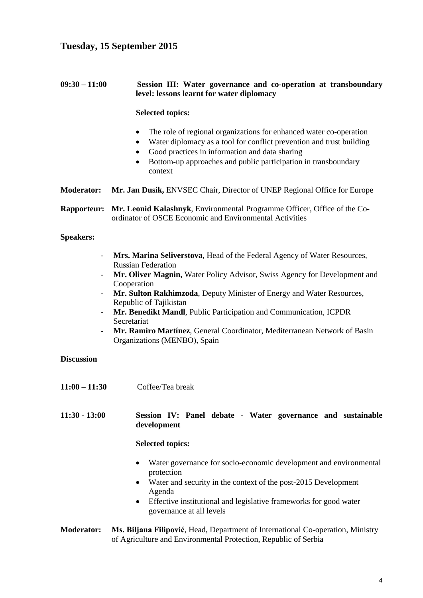## **Tuesday, 15 September 2015**

#### **09:30 – 11:00 Session III: Water governance and co-operation at transboundary level: lessons learnt for water diplomacy**

#### **Selected topics:**

- The role of regional organizations for enhanced water co-operation
- Water diplomacy as a tool for conflict prevention and trust building
- Good practices in information and data sharing
- Bottom-up approaches and public participation in transboundary context
- **Moderator: Mr. Jan Dusik,** ENVSEC Chair, Director of UNEP Regional Office for Europe

**Rapporteur: Mr. Leonid Kalashnyk**, Environmental Programme Officer, Office of the Coordinator of OSCE Economic and Environmental Activities

#### **Speakers:**

- **Mrs. Marina Seliverstova**, Head of the Federal Agency of Water Resources, Russian Federation
- **Mr. Oliver Magnin,** Water Policy Advisor, Swiss Agency for Development and Cooperation
- Mr. Sulton Rakhimzoda, Deputy Minister of Energy and Water Resources, Republic of Tajikistan
- **Mr. Benedikt Mandl**, Public Participation and Communication, ICPDR Secretariat
- **Mr. Ramiro Martínez**, General Coordinator, Mediterranean Network of Basin Organizations (MENBO), Spain

#### **Discussion**

**11:00 – 11:30** Coffee/Tea break

**11:30 - 13:00 Session IV: Panel debate - Water governance and sustainable development** 

#### **Selected topics:**

- Water governance for socio-economic development and environmental protection
- Water and security in the context of the post-2015 Development Agenda
- Effective institutional and legislative frameworks for good water governance at all levels

#### **Moderator: Ms. Biljana Filipović**, Head, Department of International Co-operation, Ministry of Agriculture and Environmental Protection, Republic of Serbia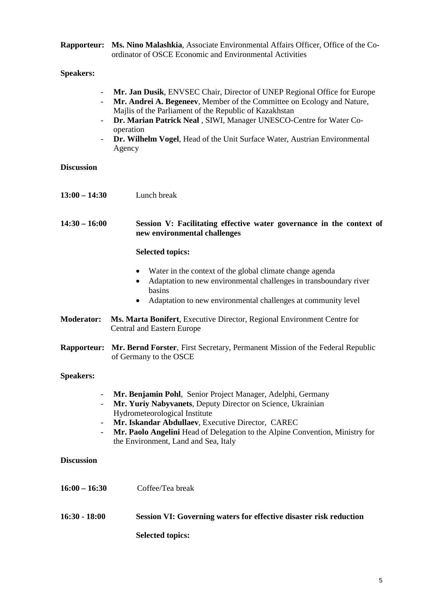| Rapporteur: Ms. Nino Malashkia, Associate Environmental Affairs Officer, Office of the Co- |
|--------------------------------------------------------------------------------------------|
| ordinator of OSCE Economic and Environmental Activities                                    |

#### **Speakers:**

- **Mr. Jan Dusik**, ENVSEC Chair, Director of UNEP Regional Office for Europe
- **Mr. Andrei A. Begeneev**, Member of the Committee on Ecology and Nature, Majlis of the Parliament of the Republic of Kazakhstan
- **Dr. Marian Patrick Neal** , SIWI, Manager UNESCO-Centre for Water Cooperation
- **Dr. Wilhelm Vogel**, Head of the Unit Surface Water, Austrian Environmental Agency

| <b>Discussion</b>  |                                                                                                                                                                                                                                                                                                                                          |
|--------------------|------------------------------------------------------------------------------------------------------------------------------------------------------------------------------------------------------------------------------------------------------------------------------------------------------------------------------------------|
| $13:00 - 14:30$    | Lunch break                                                                                                                                                                                                                                                                                                                              |
| $14:30 - 16:00$    | Session V: Facilitating effective water governance in the context of<br>new environmental challenges                                                                                                                                                                                                                                     |
|                    | <b>Selected topics:</b>                                                                                                                                                                                                                                                                                                                  |
|                    | Water in the context of the global climate change agenda<br>$\bullet$<br>Adaptation to new environmental challenges in transboundary river<br>basins                                                                                                                                                                                     |
|                    | Adaptation to new environmental challenges at community level<br>$\bullet$                                                                                                                                                                                                                                                               |
| <b>Moderator:</b>  | Ms. Marta Bonifert, Executive Director, Regional Environment Centre for<br><b>Central and Eastern Europe</b>                                                                                                                                                                                                                             |
| <b>Rapporteur:</b> | Mr. Bernd Forster, First Secretary, Permanent Mission of the Federal Republic<br>of Germany to the OSCE                                                                                                                                                                                                                                  |
| <b>Speakers:</b>   |                                                                                                                                                                                                                                                                                                                                          |
| $\blacksquare$     | Mr. Benjamin Pohl, Senior Project Manager, Adelphi, Germany<br>Mr. Yuriy Nabyvanets, Deputy Director on Science, Ukrainian<br>Hydrometeorological Institute<br>Mr. Iskandar Abdullaev, Executive Director, CAREC<br>Mr. Paolo Angelini Head of Delegation to the Alpine Convention, Ministry for<br>the Environment, Land and Sea, Italy |
| <b>Discussion</b>  |                                                                                                                                                                                                                                                                                                                                          |
| $16:00 - 16:30$    | Coffee/Tea break                                                                                                                                                                                                                                                                                                                         |

**16:30 - 18:00 Session VI: Governing waters for effective disaster risk reduction Selected topics:**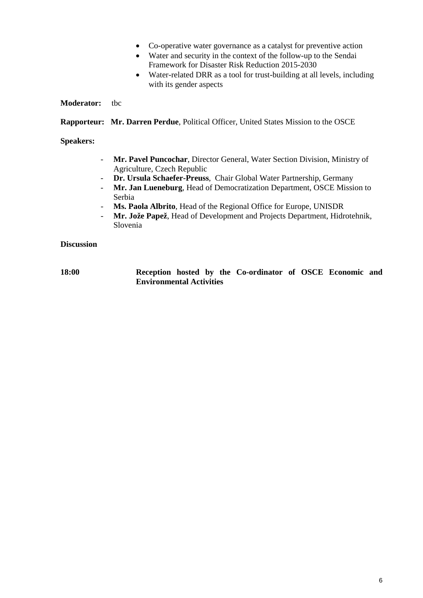- Co-operative water governance as a catalyst for preventive action
- Water and security in the context of the follow-up to the Sendai Framework for Disaster Risk Reduction 2015-2030
- Water-related DRR as a tool for trust-building at all levels, including with its gender aspects

#### **Moderator:** tbc

**Rapporteur: Mr. Darren Perdue**, Political Officer, United States Mission to the OSCE

#### **Speakers:**

- **Mr. Pavel Puncochar**, Director General, Water Section Division, Ministry of Agriculture, Czech Republic
- **Dr. Ursula Schaefer-Preuss**, Chair Global Water Partnership, Germany
- **Mr. Jan Lueneburg**, Head of Democratization Department, OSCE Mission to Serbia
- **Ms. Paola Albrito**, Head of the Regional Office for Europe, UNISDR
- **Mr. Jože Papež**, Head of Development and Projects Department, Hidrotehnik, Slovenia

#### **Discussion**

**18:00 Reception hosted by the Co-ordinator of OSCE Economic and Environmental Activities**